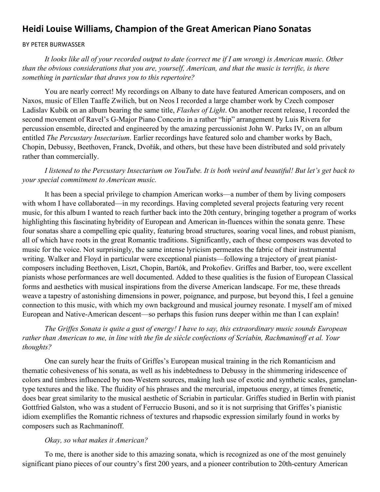# **Heidi Louise Williams, Champion of the Great American Piano Sonatas**

#### BY PETER BURWASSER

*It looks like all of your recorded output to date (correct me if I am wrong) is American music. Other than the obvious considerations that you are, yourself, American, and that the music is terrific, is there something in particular that draws you to this repertoire?*

You are nearly correct! My recordings on Albany to date have featured American composers, and on Naxos, music of Ellen Taaffe Zwilich, but on Neos I recorded a large chamber work by Czech composer Ladislav Kubík on an album bearing the same title, *Flashes of Light*. On another recent release, I recorded the second movement of Ravel's G-Major Piano Concerto in a rather "hip" arrangement by Luis Rivera for percussion ensemble, directed and engineered by the amazing percussionist John W. Parks IV, on an album entitled *The Percustary Insectarium*. Earlier recordings have featured solo and chamber works by Bach, Chopin, Debussy, Beethoven, Franck, Dvořák, and others, but these have been distributed and sold privately rather than commercially.

### *I listened to the Percustary Insectarium on YouTube. It is both weird and beautiful! But let's get back to your special commitment to American music.*

It has been a special privilege to champion American works—a number of them by living composers with whom I have collaborated—in my recordings. Having completed several projects featuring very recent music, for this album I wanted to reach further back into the 20th century, bringing together a program of works highlighting this fascinating hybridity of European and American in-fluences within the sonata genre. These four sonatas share a compelling epic quality, featuring broad structures, soaring vocal lines, and robust pianism, all of which have roots in the great Romantic traditions. Significantly, each of these composers was devoted to music for the voice. Not surprisingly, the same intense lyricism permeates the fabric of their instrumental writing. Walker and Floyd in particular were exceptional pianists—following a trajectory of great pianistcomposers including Beethoven, Liszt, Chopin, Bartók, and Prokofiev. Griffes and Barber, too, were excellent pianists whose performances are well documented. Added to these qualities is the fusion of European Classical forms and aesthetics with musical inspirations from the diverse American landscape. For me, these threads weave a tapestry of astonishing dimensions in power, poignance, and purpose, but beyond this, I feel a genuine connection to this music, with which my own background and musical journey resonate. I myself am of mixed European and Native-American descent—so perhaps this fusion runs deeper within me than I can explain!

### *The Griffes Sonata is quite a gust of energy! I have to say, this extraordinary music sounds European rather than American to me, in line with the fin de siècle confections of Scriabin, Rachmaninoff et al. Your thoughts?*

One can surely hear the fruits of Griffes's European musical training in the rich Romanticism and thematic cohesiveness of his sonata, as well as his indebtedness to Debussy in the shimmering iridescence of colors and timbres influenced by non-Western sources, making lush use of exotic and synthetic scales, gamelantype textures and the like. The fluidity of his phrases and the mercurial, impetuous energy, at times frenetic, does bear great similarity to the musical aesthetic of Scriabin in particular. Griffes studied in Berlin with pianist Gottfried Galston, who was a student of Ferruccio Busoni, and so it is not surprising that Griffes's pianistic idiom exemplifies the Romantic richness of textures and rhapsodic expression similarly found in works by composers such as Rachmaninoff.

#### *Okay, so what makes it American?*

To me, there is another side to this amazing sonata, which is recognized as one of the most genuinely significant piano pieces of our country's first 200 years, and a pioneer contribution to 20th-century American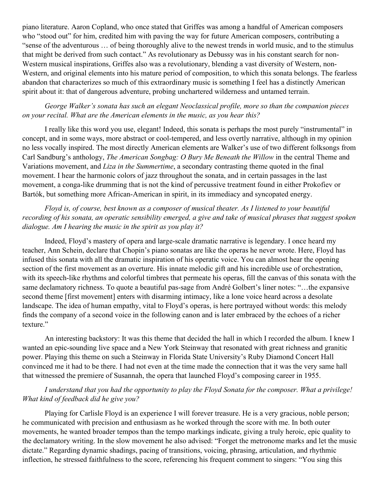piano literature. Aaron Copland, who once stated that Griffes was among a handful of American composers who "stood out" for him, credited him with paving the way for future American composers, contributing a "sense of the adventurous … of being thoroughly alive to the newest trends in world music, and to the stimulus that might be derived from such contact." As revolutionary as Debussy was in his constant search for non-Western musical inspirations, Griffes also was a revolutionary, blending a vast diversity of Western, non-Western, and original elements into his mature period of composition, to which this sonata belongs. The fearless abandon that characterizes so much of this extraordinary music is something I feel has a distinctly American spirit about it: that of dangerous adventure, probing unchartered wilderness and untamed terrain.

*George Walker's sonata has such an elegant Neoclassical profile, more so than the companion pieces on your recital. What are the American elements in the music, as you hear this?*

I really like this word you use, elegant! Indeed, this sonata is perhaps the most purely "instrumental" in concept, and in some ways, more abstract or cool-tempered, and less overtly narrative, although in my opinion no less vocally inspired. The most directly American elements are Walker's use of two different folksongs from Carl Sandburg's anthology, *The American Songbag: O Bury Me Beneath the Willow* in the central Theme and Variations movement, and *Liza in the Summertime*, a secondary contrasting theme quoted in the final movement. I hear the harmonic colors of jazz throughout the sonata, and in certain passages in the last movement, a conga-like drumming that is not the kind of percussive treatment found in either Prokofiev or Bartók, but something more African-American in spirit, in its immediacy and syncopated energy.

*Floyd is, of course, best known as a composer of musical theater. As I listened to your beautiful recording of his sonata, an operatic sensibility emerged, a give and take of musical phrases that suggest spoken dialogue. Am I hearing the music in the spirit as you play it?*

Indeed, Floyd's mastery of opera and large-scale dramatic narrative is legendary. I once heard my teacher, Ann Schein, declare that Chopin's piano sonatas are like the operas he never wrote. Here, Floyd has infused this sonata with all the dramatic inspiration of his operatic voice. You can almost hear the opening section of the first movement as an overture. His innate melodic gift and his incredible use of orchestration, with its speech-like rhythms and colorful timbres that permeate his operas, fill the canvas of this sonata with the same declamatory richness. To quote a beautiful pas-sage from André Golbert's liner notes: "…the expansive second theme [first movement] enters with disarming intimacy, like a lone voice heard across a desolate landscape. The idea of human empathy, vital to Floyd's operas, is here portrayed without words: this melody finds the company of a second voice in the following canon and is later embraced by the echoes of a richer texture."

An interesting backstory: It was this theme that decided the hall in which I recorded the album. I knew I wanted an epic-sounding live space and a New York Steinway that resonated with great richness and granitic power. Playing this theme on such a Steinway in Florida State University's Ruby Diamond Concert Hall convinced me it had to be there. I had not even at the time made the connection that it was the very same hall that witnessed the premiere of Susannah, the opera that launched Floyd's composing career in 1955.

### *I understand that you had the opportunity to play the Floyd Sonata for the composer. What a privilege! What kind of feedback did he give you?*

Playing for Carlisle Floyd is an experience I will forever treasure. He is a very gracious, noble person; he communicated with precision and enthusiasm as he worked through the score with me. In both outer movements, he wanted broader tempos than the tempo markings indicate, giving a truly heroic, epic quality to the declamatory writing. In the slow movement he also advised: "Forget the metronome marks and let the music dictate." Regarding dynamic shadings, pacing of transitions, voicing, phrasing, articulation, and rhythmic inflection, he stressed faithfulness to the score, referencing his frequent comment to singers: "You sing this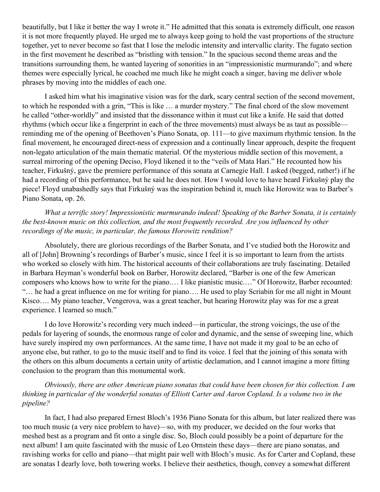beautifully, but I like it better the way I wrote it." He admitted that this sonata is extremely difficult, one reason it is not more frequently played. He urged me to always keep going to hold the vast proportions of the structure together, yet to never become so fast that I lose the melodic intensity and intervallic clarity. The fugato section in the first movement he described as "bristling with tension." In the spacious second theme areas and the transitions surrounding them, he wanted layering of sonorities in an "impressionistic murmurando"; and where themes were especially lyrical, he coached me much like he might coach a singer, having me deliver whole phrases by moving into the middles of each one.

I asked him what his imaginative vision was for the dark, scary central section of the second movement, to which he responded with a grin, "This is like … a murder mystery." The final chord of the slow movement he called "other-worldly" and insisted that the dissonance within it must cut like a knife. He said that dotted rhythms (which occur like a fingerprint in each of the three movements) must always be as taut as possible reminding me of the opening of Beethoven's Piano Sonata, op. 111—to give maximum rhythmic tension. In the final movement, he encouraged direct-ness of expression and a continually linear approach, despite the frequent non-legato articulation of the main thematic material. Of the mysterious middle section of this movement, a surreal mirroring of the opening Deciso, Floyd likened it to the "veils of Mata Hari." He recounted how his teacher, Firkušný, gave the premiere performance of this sonata at Carnegie Hall. I asked (begged, rather!) if he had a recording of this performance, but he said he does not. How I would love to have heard Firkušný play the piece! Floyd unabashedly says that Firkušný was the inspiration behind it, much like Horowitz was to Barber's Piano Sonata, op. 26.

### *What a terrific story! Impressionistic murmurando indeed! Speaking of the Barber Sonata, it is certainly the best-known music on this collection, and the most frequently recorded. Are you influenced by other recordings of the music, in particular, the famous Horowitz rendition?*

Absolutely, there are glorious recordings of the Barber Sonata, and I've studied both the Horowitz and all of [John] Browning's recordings of Barber's music, since I feel it is so important to learn from the artists who worked so closely with him. The historical accounts of their collaborations are truly fascinating. Detailed in Barbara Heyman's wonderful book on Barber, Horowitz declared, "Barber is one of the few American composers who knows how to write for the piano.… I like pianistic music.…" Of Horowitz, Barber recounted: "… he had a great influence on me for writing for piano…. He used to play Scriabin for me all night in Mount Kisco…. My piano teacher, Vengerova, was a great teacher, but hearing Horowitz play was for me a great experience. I learned so much."

I do love Horowitz's recording very much indeed—in particular, the strong voicings, the use of the pedals for layering of sounds, the enormous range of color and dynamic, and the sense of sweeping line, which have surely inspired my own performances. At the same time, I have not made it my goal to be an echo of anyone else, but rather, to go to the music itself and to find its voice. I feel that the joining of this sonata with the others on this album documents a certain unity of artistic declamation, and I cannot imagine a more fitting conclusion to the program than this monumental work.

### *Obviously, there are other American piano sonatas that could have been chosen for this collection. I am thinking in particular of the wonderful sonatas of Elliott Carter and Aaron Copland. Is a volume two in the pipeline?*

In fact, I had also prepared Ernest Bloch's 1936 Piano Sonata for this album, but later realized there was too much music (a very nice problem to have)—so, with my producer, we decided on the four works that meshed best as a program and fit onto a single disc. So, Bloch could possibly be a point of departure for the next album! I am quite fascinated with the music of Leo Ornstein these days—there are piano sonatas, and ravishing works for cello and piano—that might pair well with Bloch's music. As for Carter and Copland, these are sonatas I dearly love, both towering works. I believe their aesthetics, though, convey a somewhat different